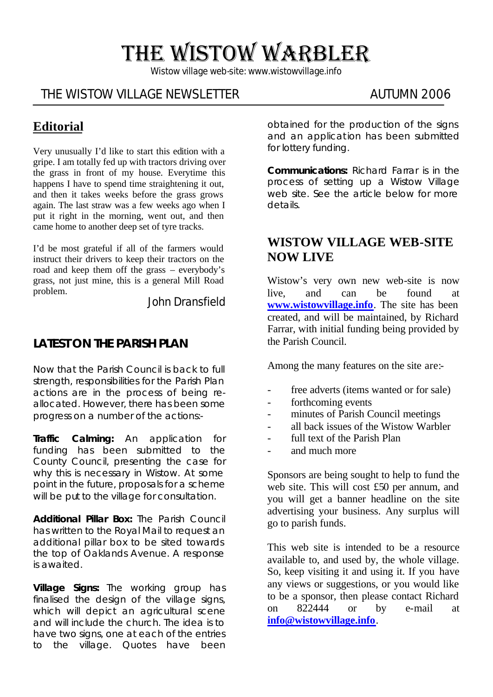# THE WISTOW WARBLER

*Wistow village web-site: www.wistowvillage.info*

#### THE WISTOW VILLAGE NEWSLETTER AUTUMN 2006

#### **Editorial**

Very unusually I'd like to start this edition with a gripe. I am totally fed up with tractors driving over the grass in front of my house. Everytime this happens I have to spend time straightening it out, and then it takes weeks before the grass grows again. The last straw was a few weeks ago when I put it right in the morning, went out, and then came home to another deep set of tyre tracks.

I'd be most grateful if all of the farmers would instruct their drivers to keep their tractors on the road and keep them off the grass – everybody's grass, not just mine, this is a general Mill Road problem.

John Dransfield

#### **LATEST ON THE PARISH PLAN**

Now that the Parish Council is back to full strength, responsibilities for the Parish Plan actions are in the process of being reallocated. However, there has been some progress on a number of the actions:-

*Traffic Calming:* An application for funding has been submitted to the County Council, presenting the case for why this is necessary in Wistow. At some point in the future, proposals for a scheme will be put to the village for consultation.

*Additional Pillar Box:* The Parish Council has written to the Royal Mail to request an additional pillar box to be sited towards the top of Oaklands Avenue. A response is awaited.

*Village Signs:* The working group has finalised the design of the village signs, which will depict an agricultural scene and will include the church. The idea is to have two signs, one at each of the entries to the village. Quotes have been obtained for the production of the signs and an application has been submitted for lottery funding.

*Communications:* Richard Farrar is in the process of setting up a Wistow Village web site. See the article below for more details.

#### **WISTOW VILLAGE WEB-SITE NOW LIVE**

Wistow's very own new web-site is now live, and can be found at **www.wistowvillage.info**. The site has been created, and will be maintained, by Richard Farrar, with initial funding being provided by the Parish Council.

Among the many features on the site are:-

- free adverts (items wanted or for sale)
- forthcoming events
- minutes of Parish Council meetings
- all back issues of the Wistow Warbler
- full text of the Parish Plan
- and much more.

Sponsors are being sought to help to fund the web site. This will cost £50 per annum, and you will get a banner headline on the site advertising your business. Any surplus will go to parish funds.

This web site is intended to be a resource available to, and used by, the whole village. So, keep visiting it and using it. If you have any views or suggestions, or you would like to be a sponsor, then please contact Richard on 822444 or by e-mail at **info@wistowvillage.info**.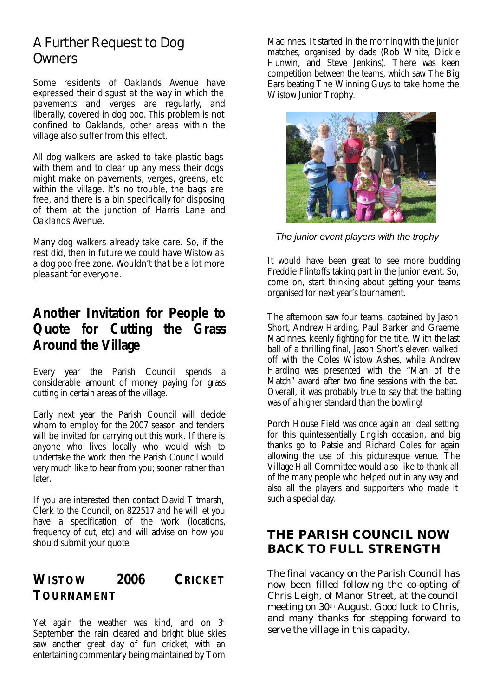# A Further Request to Dog **Owners**

Some residents of Oaklands Avenue have expressed their disgust at the way in which the pavements and verges are regularly, and liberally, covered in dog poo. This problem is not confined to Oaklands, other areas within the village also suffer from this effect.

All dog walkers are asked to take plastic bags with them and to clear up any mess their dogs might make on pavements, verges, greens, etc within the village. It's no trouble, the bags are free, and there is a bin specifically for disposing of them at the junction of Harris Lane and Oaklands Avenue.

Many dog walkers already take care. So, if the rest did, then in future we could have Wistow as a dog poo free zone. Wouldn't that be a lot more pleasant for everyone.

# **Another Invitation for People to Quote for Cutting the Grass Around the Village**

Every year the Parish Council spends a considerable amount of money paying for grass cutting in certain areas of the village.

Early next year the Parish Council will decide whom to employ for the 2007 season and tenders will be invited for carrying out this work. If there is anyone who lives locally who would wish to undertake the work then the Parish Council would very much like to hear from you; sooner rather than later.

If you are interested then contact David Titmarsh, Clerk to the Council, on 822517 and he will let you have a specification of the work (locations, frequency of cut, etc) and will advise on how you should submit your quote.

#### **WISTOW 2006 CRICKET TOURNAMENT**

Yet again the weather was kind, and on  $3<sup>nd</sup>$ September the rain cleared and bright blue skies saw another great day of fun cricket, with an entertaining commentary being maintained by Tom

MacInnes. It started in the morning with the junior matches, organised by dads (Rob White, Dickie Hunwin, and Steve Jenkins). There was keen competition between the teams, which saw The Big Ears beating The Winning Guys to take home the Wistow Junior Trophy.



 *The junior event players with the trophy*

It would have been great to see more budding Freddie Flintoffs taking part in the junior event. So, come on, start thinking about getting your teams organised for next year's tournament.

The afternoon saw four teams, captained by Jason Short, Andrew Harding, Paul Barker and Graeme MacInnes, keenly fighting for the title. With the last ball of a thrilling final, Jason Short's eleven walked off with the Coles Wistow Ashes, while Andrew Harding was presented with the "Man of the Match" award after two fine sessions with the bat. Overall, it was probably true to say that the batting was of a higher standard than the bowling!

Porch House Field was once again an ideal setting for this quintessentially English occasion, and big thanks go to Patsie and Richard Coles for again allowing the use of this picturesque venue. The Village Hall Committee would also like to thank all of the many people who helped out in any way and also all the players and supporters who made it such a special day.

#### **THE PARISH COUNCIL NOW BACK TO FULL STRENGTH**

The final vacancy on the Parish Council has now been filled following the co-opting of Chris Leigh, of Manor Street, at the council meeting on 30th August. Good luck to Chris, and many thanks for stepping forward to serve the village in this capacity.